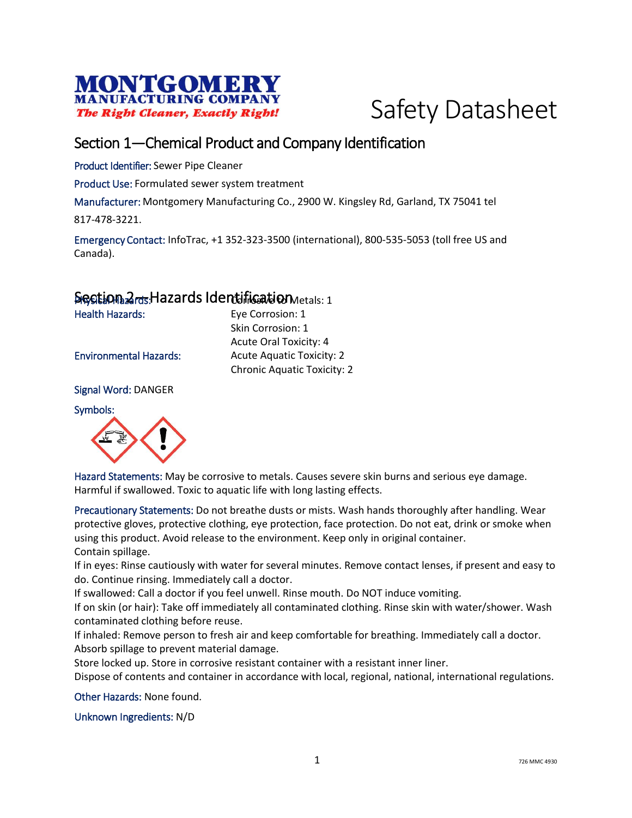



### Section 1—Chemical Product and Company Identification

Product Identifier: Sewer Pipe Cleaner

Product Use: Formulated sewer system treatment

Manufacturer: Montgomery Manufacturing Co., 2900 W. Kingsley Rd, Garland, TX 75041 tel

817-478-3221.

Emergency Contact: InfoTrac, +1 352-323-3500 (international), 800-535-5053 (toll free US and Canada).

#### Section 2<sub>rds</sub>. Hazards Identification Metals: 1

Health Hazards: Eye Corrosion: 1 Skin Corrosion: 1 Acute Oral Toxicity: 4 Environmental Hazards: Acute Aquatic Toxicity: 2 Chronic Aquatic Toxicity: 2

Signal Word: DANGER

Symbols:



Hazard Statements: May be corrosive to metals. Causes severe skin burns and serious eye damage. Harmful if swallowed. Toxic to aquatic life with long lasting effects.

Precautionary Statements: Do not breathe dusts or mists. Wash hands thoroughly after handling. Wear protective gloves, protective clothing, eye protection, face protection. Do not eat, drink or smoke when using this product. Avoid release to the environment. Keep only in original container. Contain spillage.

If in eyes: Rinse cautiously with water for several minutes. Remove contact lenses, if present and easy to do. Continue rinsing. Immediately call a doctor.

If swallowed: Call a doctor if you feel unwell. Rinse mouth. Do NOT induce vomiting.

If on skin (or hair): Take off immediately all contaminated clothing. Rinse skin with water/shower. Wash contaminated clothing before reuse.

If inhaled: Remove person to fresh air and keep comfortable for breathing. Immediately call a doctor. Absorb spillage to prevent material damage.

Store locked up. Store in corrosive resistant container with a resistant inner liner.

Dispose of contents and container in accordance with local, regional, national, international regulations.

Other Hazards: None found.

Unknown Ingredients: N/D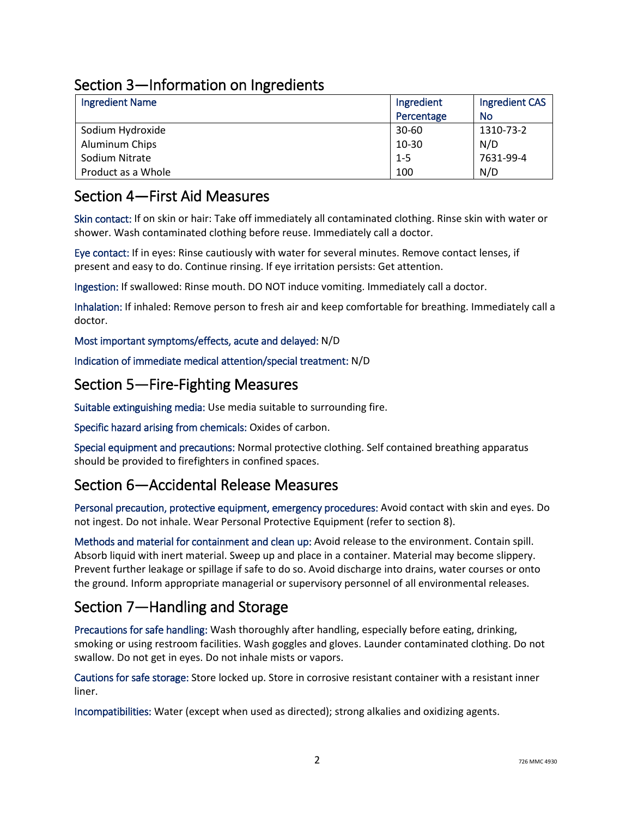## Section 3—Information on Ingredients

| <b>Ingredient Name</b> | Ingredient | <b>Ingredient CAS</b> |
|------------------------|------------|-----------------------|
|                        | Percentage | No                    |
| Sodium Hydroxide       | $30 - 60$  | 1310-73-2             |
| Aluminum Chips         | 10-30      | N/D                   |
| Sodium Nitrate         | $1 - 5$    | 7631-99-4             |
| Product as a Whole     | 100        | N/D                   |

### Section 4—First Aid Measures

Skin contact: If on skin or hair: Take off immediately all contaminated clothing. Rinse skin with water or shower. Wash contaminated clothing before reuse. Immediately call a doctor.

Eye contact: If in eyes: Rinse cautiously with water for several minutes. Remove contact lenses, if present and easy to do. Continue rinsing. If eye irritation persists: Get attention.

Ingestion: If swallowed: Rinse mouth. DO NOT induce vomiting. Immediately call a doctor.

Inhalation: If inhaled: Remove person to fresh air and keep comfortable for breathing. Immediately call a doctor.

Most important symptoms/effects, acute and delayed: N/D

Indication of immediate medical attention/special treatment: N/D

### Section 5—Fire-Fighting Measures

Suitable extinguishing media: Use media suitable to surrounding fire.

Specific hazard arising from chemicals: Oxides of carbon.

Special equipment and precautions: Normal protective clothing. Self contained breathing apparatus should be provided to firefighters in confined spaces.

## Section 6—Accidental Release Measures

Personal precaution, protective equipment, emergency procedures: Avoid contact with skin and eyes. Do not ingest. Do not inhale. Wear Personal Protective Equipment (refer to section 8).

Methods and material for containment and clean up: Avoid release to the environment. Contain spill. Absorb liquid with inert material. Sweep up and place in a container. Material may become slippery. Prevent further leakage or spillage if safe to do so. Avoid discharge into drains, water courses or onto the ground. Inform appropriate managerial or supervisory personnel of all environmental releases.

## Section 7—Handling and Storage

Precautions for safe handling: Wash thoroughly after handling, especially before eating, drinking, smoking or using restroom facilities. Wash goggles and gloves. Launder contaminated clothing. Do not swallow. Do not get in eyes. Do not inhale mists or vapors.

Cautions for safe storage: Store locked up. Store in corrosive resistant container with a resistant inner liner.

Incompatibilities: Water (except when used as directed); strong alkalies and oxidizing agents.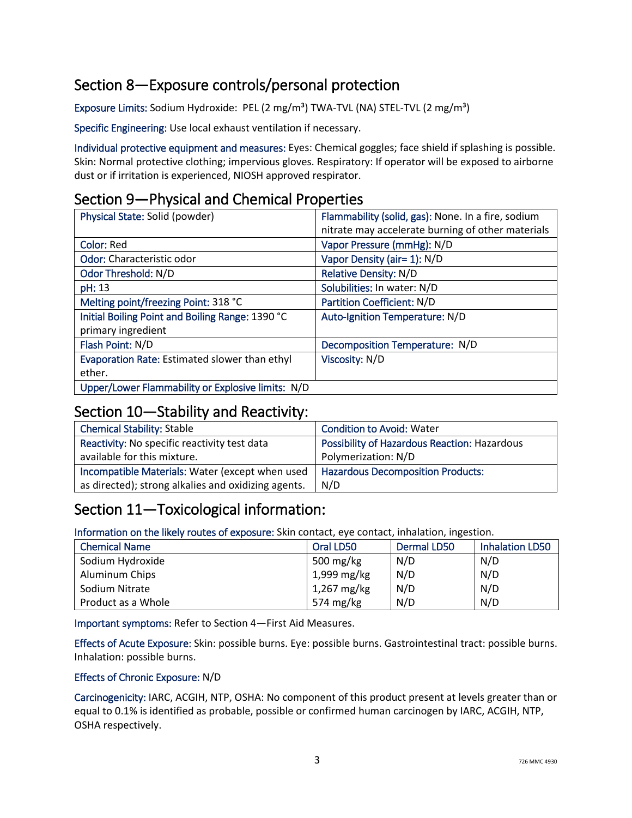# Section 8—Exposure controls/personal protection

Exposure Limits: Sodium Hydroxide: PEL (2 mg/m<sup>3</sup>) TWA-TVL (NA) STEL-TVL (2 mg/m<sup>3</sup>)

Specific Engineering: Use local exhaust ventilation if necessary.

Individual protective equipment and measures: Eyes: Chemical goggles; face shield if splashing is possible. Skin: Normal protective clothing; impervious gloves. Respiratory: If operator will be exposed to airborne dust or if irritation is experienced, NIOSH approved respirator.

## Section 9—Physical and Chemical Properties

| Physical State: Solid (powder)                    | Flammability (solid, gas): None. In a fire, sodium<br>nitrate may accelerate burning of other materials |
|---------------------------------------------------|---------------------------------------------------------------------------------------------------------|
| Color: Red                                        | Vapor Pressure (mmHg): N/D                                                                              |
| Odor: Characteristic odor                         | Vapor Density (air= 1): N/D                                                                             |
| Odor Threshold: N/D                               | <b>Relative Density: N/D</b>                                                                            |
| pH: 13                                            | Solubilities: In water: N/D                                                                             |
| Melting point/freezing Point: 318 °C              | <b>Partition Coefficient: N/D</b>                                                                       |
| Initial Boiling Point and Boiling Range: 1390 °C  | Auto-Ignition Temperature: N/D                                                                          |
| primary ingredient                                |                                                                                                         |
| Flash Point: N/D                                  | Decomposition Temperature: N/D                                                                          |
| Evaporation Rate: Estimated slower than ethyl     | Viscosity: N/D                                                                                          |
| ether.                                            |                                                                                                         |
| Upper/Lower Flammability or Explosive limits: N/D |                                                                                                         |

#### Section 10—Stability and Reactivity:

| <b>Chemical Stability: Stable</b>                   | <b>Condition to Avoid: Water</b>             |
|-----------------------------------------------------|----------------------------------------------|
| Reactivity: No specific reactivity test data        | Possibility of Hazardous Reaction: Hazardous |
| available for this mixture.                         | Polymerization: N/D                          |
| Incompatible Materials: Water (except when used     | <b>Hazardous Decomposition Products:</b>     |
| as directed); strong alkalies and oxidizing agents. | N/D                                          |

## Section 11—Toxicological information:

Information on the likely routes of exposure: Skin contact, eye contact, inhalation, ingestion.

| <b>Chemical Name</b> | Oral LD50   | <b>Dermal LD50</b> | <b>Inhalation LD50</b> |
|----------------------|-------------|--------------------|------------------------|
| Sodium Hydroxide     | 500 mg/kg   | N/D                | N/D                    |
| Aluminum Chips       | 1,999 mg/kg | N/D                | N/D                    |
| Sodium Nitrate       | 1,267 mg/kg | N/D                | N/D                    |
| Product as a Whole   | 574 mg/kg   | N/D                | N/D                    |

Important symptoms: Refer to Section 4—First Aid Measures.

Effects of Acute Exposure: Skin: possible burns. Eye: possible burns. Gastrointestinal tract: possible burns. Inhalation: possible burns.

#### Effects of Chronic Exposure: N/D

Carcinogenicity: IARC, ACGIH, NTP, OSHA: No component of this product present at levels greater than or equal to 0.1% is identified as probable, possible or confirmed human carcinogen by IARC, ACGIH, NTP, OSHA respectively.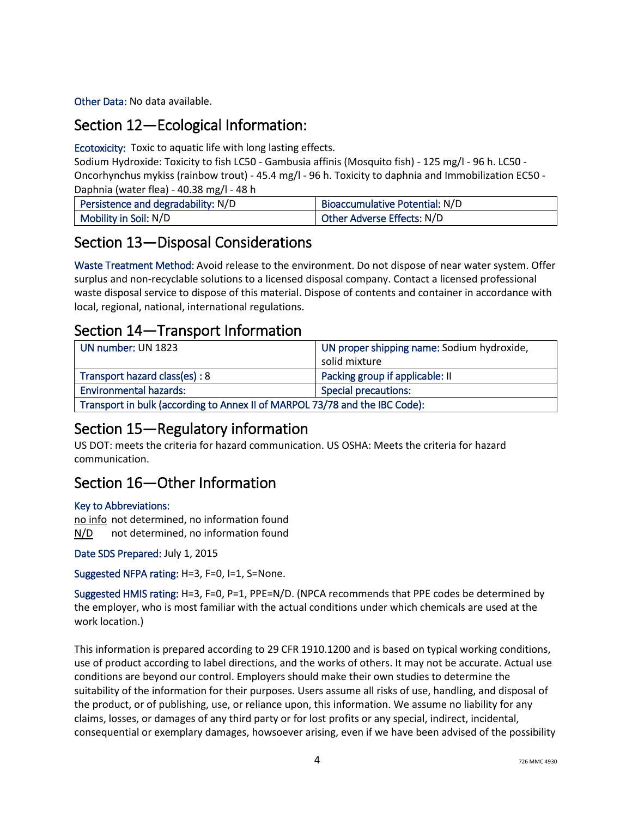Other Data: No data available.

## Section 12—Ecological Information:

Ecotoxicity: Toxic to aquatic life with long lasting effects.

Sodium Hydroxide: Toxicity to fish LC50 - Gambusia affinis (Mosquito fish) - 125 mg/l - 96 h. LC50 - Oncorhynchus mykiss (rainbow trout) - 45.4 mg/l - 96 h. Toxicity to daphnia and Immobilization EC50 - Daphnia (water flea) - 40.38 mg/l - 48 h

| Persistence and degradability: N/D | <b>Bioaccumulative Potential: N/D</b> |
|------------------------------------|---------------------------------------|
| Mobility in Soil: N/D              | Other Adverse Effects: N/D            |

### Section 13—Disposal Considerations

Waste Treatment Method: Avoid release to the environment. Do not dispose of near water system. Offer surplus and non-recyclable solutions to a licensed disposal company. Contact a licensed professional waste disposal service to dispose of this material. Dispose of contents and container in accordance with local, regional, national, international regulations.

### Section 14—Transport Information

| UN number: UN 1823                                                          | UN proper shipping name: Sodium hydroxide, |
|-----------------------------------------------------------------------------|--------------------------------------------|
|                                                                             | solid mixture                              |
| Transport hazard class(es): 8                                               | Packing group if applicable: II            |
| <b>Environmental hazards:</b>                                               | <b>Special precautions:</b>                |
| Transport in bulk (according to Annex II of MARPOL 73/78 and the IBC Code): |                                            |

## Section 15—Regulatory information

US DOT: meets the criteria for hazard communication. US OSHA: Meets the criteria for hazard communication.

## Section 16—Other Information

#### Key to Abbreviations:

no info not determined, no information found N/D not determined, no information found

Date SDS Prepared: July 1, 2015

Suggested NFPA rating: H=3, F=0, I=1, S=None.

Suggested HMIS rating: H=3, F=0, P=1, PPE=N/D. (NPCA recommends that PPE codes be determined by the employer, who is most familiar with the actual conditions under which chemicals are used at the work location.)

This information is prepared according to 29 CFR 1910.1200 and is based on typical working conditions, use of product according to label directions, and the works of others. It may not be accurate. Actual use conditions are beyond our control. Employers should make their own studies to determine the suitability of the information for their purposes. Users assume all risks of use, handling, and disposal of the product, or of publishing, use, or reliance upon, this information. We assume no liability for any claims, losses, or damages of any third party or for lost profits or any special, indirect, incidental, consequential or exemplary damages, howsoever arising, even if we have been advised of the possibility